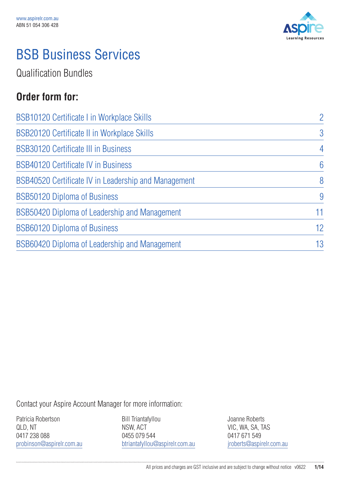

## BSB Business Services

Qualification Bundles

### **Order form for:**

| $\overline{2}$ |
|----------------|
| $\overline{3}$ |
| $\overline{4}$ |
| 6              |
| 8              |
| 9              |
| 11             |
| 12             |
| 13             |
|                |

Contact your Aspire Account Manager for more information:

Patricia Robertson QLD, NT 0417 238 088 probinson@aspirelr.com.au

Bill Triantafyllou NSW, ACT 0455 079 544 btriantafyllou@aspirelr.com.au Joanne Roberts VIC, WA, SA, TAS 0417 671 549 jroberts@aspirelr.com.au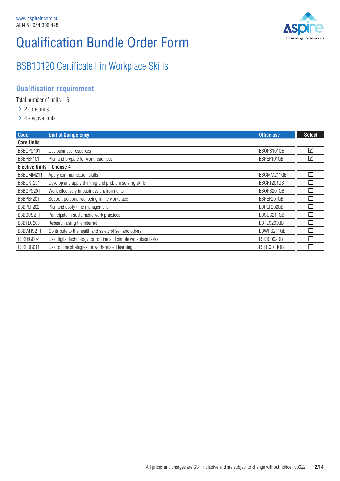

### BSB10120 Certificate I in Workplace Skills

#### **Qualification requirement**

Total number of units  $-6$ 

- $\rightarrow$  2 core units
- $\rightarrow$  4 elective units

| <b>Code</b>                      | <b>Unit of Competency</b>                                     | Office use | <b>Select</b> |
|----------------------------------|---------------------------------------------------------------|------------|---------------|
| <b>Core Units</b>                |                                                               |            |               |
| BSB0PS101                        | Use business resources                                        | BBOPS1010B | ☑             |
| BSBPEF101                        | Plan and prepare for work readiness                           | BBPEF1010B | ☑             |
| <b>Elective Units - Choose 4</b> |                                                               |            |               |
| BSBCMM211                        | Apply communication skills                                    | BBCMM211QB |               |
| BSBCRT201                        | Develop and apply thinking and problem solving skills         | BBCRT201QB |               |
| BSB0PS201                        | Work effectively in business environments                     | BBOPS201QB |               |
| BSBPEF201                        | Support personal wellbeing in the workplace                   | BBPEF201QB | П             |
| BSBPEF202                        | Plan and apply time management                                | BBPEF202QB |               |
| BSBSUS211                        | Participate in sustainable work practices                     | BBSUS211QB | П             |
| BSBTEC203                        | Research using the internet                                   | BBTEC2030B |               |
| BSBWHS211                        | Contribute to the health and safety of self and others        | BBWHS211QB | П             |
| FSKDIG002                        | Use digital technology for routine and simple workplace tasks | FSDIG002QB |               |
| FSKLRG011                        | Use routine strategies for work-related learning              | FSLRG011QB |               |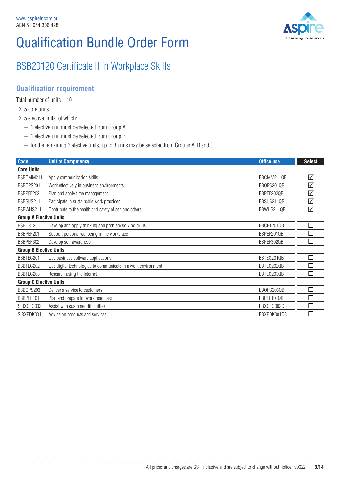

### BSB20120 Certificate II in Workplace Skills

#### **Qualification requirement**

Total number of units  $-10$ 

- $\rightarrow$  5 core units
- $\rightarrow$  5 elective units, of which:
	- 1 elective unit must be selected from Group A
	- 1 elective unit must be selected from Group B
	- for the remaining 3 elective units, up to 3 units may be selected from Groups A, B and C

| <b>Code</b>                   | <b>Unit of Competency</b>                                     | Office use  | <b>Select</b> |
|-------------------------------|---------------------------------------------------------------|-------------|---------------|
| <b>Core Units</b>             |                                                               |             |               |
| BSBCMM211                     | Apply communication skills                                    | BBCMM211QB  | ☑             |
| BSB0PS201                     | Work effectively in business environments                     | BBOPS201QB  | ☑             |
| BSBPEF202                     | Plan and apply time management                                | BBPEF202QB  | ☑             |
| BSBSUS211                     | Participate in sustainable work practices                     | BBSUS211QB  | ☑             |
| BSBWHS211                     | Contribute to the health and safety of self and others        | BBWHS211QB  | ☑             |
| <b>Group A Elective Units</b> |                                                               |             |               |
| BSBCRT201                     | Develop and apply thinking and problem solving skills         | BBCRT2010B  | □             |
| BSBPEF201                     | Support personal wellbeing in the workplace                   | BBPEF201QB  |               |
| BSBPEF302                     | Develop self-awareness                                        | BBPEF302QB  | ٦             |
| <b>Group B Elective Units</b> |                                                               |             |               |
| BSBTEC201                     | Use business software applications                            | BBTEC201QB  | П             |
| BSBTEC202                     | Use digital technologies to communicate in a work environment | BBTEC202QB  | Ξ             |
| BSBTEC203                     | Research using the internet                                   | BBTEC203QB  | П             |
| <b>Group C Elective Units</b> |                                                               |             |               |
| BSB0PS203                     | Deliver a service to customers                                | BBOPS203QB  | ٦             |
| BSBPEF101                     | Plan and prepare for work readiness                           | BBPEF101QB  | $\mathcal{L}$ |
| SIRXCEG002                    | Assist with customer difficulties                             | BBXCEG002QB |               |
| SIRXPDK001                    | Advise on products and services                               | BBXPDK001QB |               |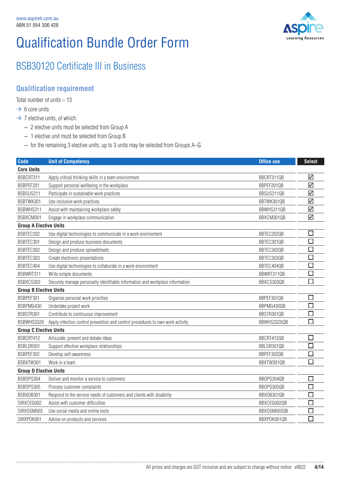

### BSB30120 Certificate III in Business

#### **Qualification requirement**

Total number of units – 13

- $\rightarrow$  6 core units
- $\rightarrow$  7 elective units, of which:
	- 2 elective units must be selected from Group A
	- 1 elective unit must be selected from Group B
	- for the remaining 3 elective units, up to 3 units may be selected from Groups A–G

| <b>Code</b>                   | <b>Unit of Competency</b>                                                      | <b>Office use</b> | <b>Select</b> |
|-------------------------------|--------------------------------------------------------------------------------|-------------------|---------------|
| <b>Core Units</b>             |                                                                                |                   |               |
| BSBCRT311                     | Apply critical thinking skills in a team environment                           | BBCRT311QB        | ☑             |
| BSBPEF201                     | Support personal wellbeing in the workplace                                    | BBPEF201QB        | ☑             |
| BSBSUS211                     | Participate in sustainable work practices                                      | BBSUS211QB        | ☑             |
| BSBTWK301                     | Use inclusive work practices                                                   | BBTWK301QB        | ☑             |
| BSBWHS311                     | Assist with maintaining workplace safety                                       | BBWHS311QB        | ☑             |
| BSBXCM301                     | Engage in workplace communication                                              | BBXCM301QB        | ☑             |
| <b>Group A Elective Units</b> |                                                                                |                   |               |
| BSBTEC202                     | Use digital technologies to communicate in a work environment                  | BBTEC202QB        | $\Box$        |
| BSBTEC301                     | Design and produce business documents                                          | BBTEC301QB        | $\Box$        |
| BSBTEC302                     | Design and produce spreadsheets                                                | BBTEC302QB        | □             |
| BSBTEC303                     | Create electronic presentations                                                | BBTEC303QB        | $\Box$        |
| BSBTEC404                     | Use digital technologies to collaborate in a work environment                  | BBTEC404QB        | $\Box$        |
| BSBWRT311                     | Write simple documents                                                         | BBWRT311QB        | $\Box$        |
| BSBXCS303                     | Securely manage personally identifiable information and workplace information  | BBXCS303QB        | П             |
| <b>Group B Elective Units</b> |                                                                                |                   |               |
| BSBPEF301                     | Organise personal work priorities                                              | BBPEF301QB        | □             |
| BSBPMG430                     | Undertake project work                                                         | BBPMG430QB        | $\Box$        |
| BSBSTR301                     | Contribute to continuous improvement                                           | BBSTR301QB        | $\sqcup$      |
| BSBWHS332X                    | Apply infection control prevention and control procedures to own work activity | BBWHS332XQB       | $\Box$        |
| <b>Group C Elective Units</b> |                                                                                |                   |               |
| BSBCRT412                     | Articulate, present and debate ideas                                           | BBCRT412QB        | □             |
| BSBLDR301                     | Support effective workplace relationships                                      | BBLDR301QB        | $\Box$        |
| BSBPEF302                     | Develop self-awareness                                                         | BBPEF302QB        | □             |
| BSBXTW301                     | Work in a team                                                                 | BBXTW301QB        | $\Box$        |
| <b>Group D Elective Units</b> |                                                                                |                   |               |
| BSB0PS304                     | Deliver and monitor a service to customers                                     | BBOPS304QB        | □             |
| BSB0PS305                     | Process customer complaints                                                    | BBOPS305QB        | $\Box$        |
| BSBXDB301                     | Respond to the service needs of customers and clients with disability          | BBXDB301QB        | $\Box$        |
| SIRXCEG002                    | Assist with customer difficulties                                              | BBXCEG002QB       | $\Box$        |
| SIRXOSM003                    | Use social media and online tools                                              | BBX0SM003QB       | П             |
| SIRXPDK001                    | Advise on products and services                                                | BBXPDK001QB       | $\Box$        |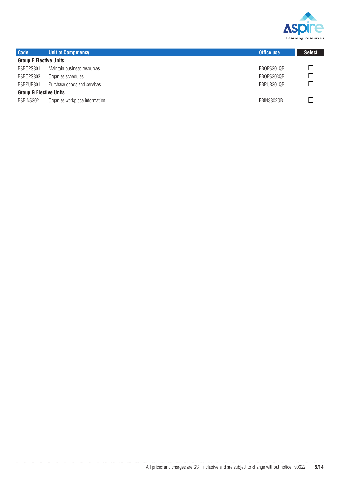

| <b>Code</b>                   | <b>Unit of Competency</b>      | <b>Office use</b> | <b>Select</b> |
|-------------------------------|--------------------------------|-------------------|---------------|
| <b>Group E Elective Units</b> |                                |                   |               |
| BSB0PS301                     | Maintain business resources    | BBOPS301QB        |               |
| BSB0PS303                     | Organise schedules             | BBOPS303QB        |               |
| BSBPUR301                     | Purchase goods and services    | BBPUR301QB        |               |
| <b>Group G Elective Units</b> |                                |                   |               |
| BSBINS302                     | Organise workplace information | BBINS302QB        |               |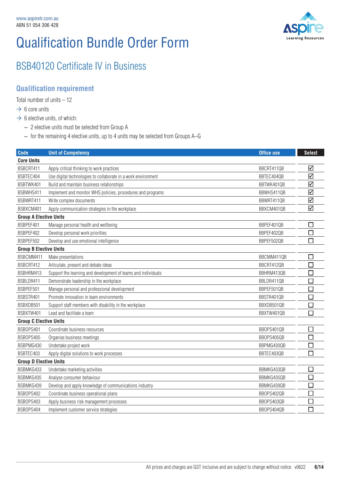

### BSB40120 Certificate IV in Business

#### **Qualification requirement**

Total number of units – 12

- $\rightarrow$  6 core units
- $\rightarrow$  6 elective units, of which:

- 2 elective units must be selected from Group A
- for the remaining 4 elective units, up to 4 units may be selected from Groups A–G

| <b>Code</b>                   | <b>Unit of Competency</b>                                     | <b>Office use</b> | <b>Select</b> |
|-------------------------------|---------------------------------------------------------------|-------------------|---------------|
| <b>Core Units</b>             |                                                               |                   |               |
| BSBCRT411                     | Apply critical thinking to work practices                     | BBCRT411QB        | ☑             |
| BSBTEC404                     | Use digital technologies to collaborate in a work environment | BBTEC404QB        | ☑             |
| BSBTWK401                     | Build and maintain business relationships                     | BBTWK401QB        | ☑             |
| BSBWHS411                     | Implement and monitor WHS policies, procedures and programs   | BBWHS411QB        | ☑             |
| BSBWRT411                     | Write complex documents                                       | BBWRT411QB        | ☑             |
| BSBXCM401                     | Apply communication strategies in the workplace               | BBXCM401QB        | ☑             |
| <b>Group A Elective Units</b> |                                                               |                   |               |
| BSBPEF401                     | Manage personal health and wellbeing                          | BBPEF401QB        | $\Box$        |
| BSBPEF402                     | Develop personal work priorities                              | BBPEF402QB        | $\Box$        |
| BSBPEF502                     | Develop and use emotional intelligence                        | BBPEF502QB        | $\Box$        |
| <b>Group B Elective Units</b> |                                                               |                   |               |
| BSBCMM411                     | Make presentations                                            | BBCMM411QB        | $\Box$        |
| BSBCRT412                     | Articulate, present and debate ideas                          | BBCRT412QB        | $\Box$        |
| BSBHRM413                     | Support the learning and development of teams and individuals | BBHRM413QB        | $\Box$        |
| BSBLDR411                     | Demonstrate leadership in the workplace                       | BBLDR411QB        | $\Box$        |
| BSBPEF501                     | Manage personal and professional development                  | BBPEF501QB        | $\Box$        |
| BSBSTR401                     | Promote innovation in team environments                       | BBSTR401QB        | $\Box$        |
| BSBXDB501                     | Support staff members with disability in the workplace        | BBXDB501QB        | $\Box$        |
| BSBXTW401                     | Lead and facilitate a team                                    | BBXTW401QB        | $\Box$        |
| <b>Group C Elective Units</b> |                                                               |                   |               |
| BSB0PS401                     | Coordinate business resources                                 | BBOPS401QB        | $\Box$        |
| BSB0PS405                     | Organise business meetings                                    | BBOPS405QB        | $\Box$        |
| BSBPMG430                     | Undertake project work                                        | BBPMG430QB        | $\Box$        |
| BSBTEC403                     | Apply digital solutions to work processes                     | BBTEC403QB        | $\Box$        |
| <b>Group D Elective Units</b> |                                                               |                   |               |
| BSBMKG433                     | Undertake marketing activities                                | BBMKG433QB        | $\Box$        |
| BSBMKG435                     | Analyse consumer behaviour                                    | BBMKG435QB        | $\Box$        |
| BSBMKG439                     | Develop and apply knowledge of communications industry        | BBMKG439QB        | $\Box$        |
| BSB0PS402                     | Coordinate business operational plans                         | BBOPS402QB        | $\Box$        |
| BSB0PS403                     | Apply business risk management processes                      | BBOPS403QB        | $\Box$        |
| BSB0PS404                     | Implement customer service strategies                         | BBOPS404QB        | $\Box$        |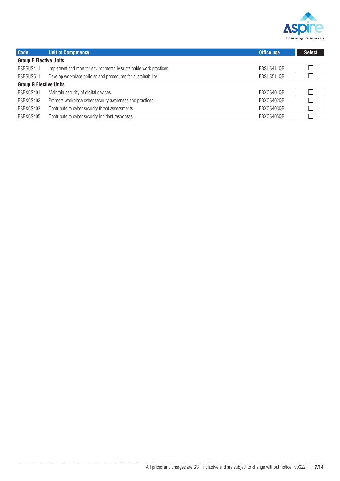

| <b>Code</b>                   | <b>Unit of Competency</b>                                        | <b>Office use</b> | <b>Select</b> |
|-------------------------------|------------------------------------------------------------------|-------------------|---------------|
| <b>Group E Elective Units</b> |                                                                  |                   |               |
| BSBSUS411                     | Implement and monitor environmentally sustainable work practices | BBSUS411QB        |               |
| BSBSUS511                     | Develop workplace policies and procedures for sustainability     | BBSUS511QB        |               |
| <b>Group G Elective Units</b> |                                                                  |                   |               |
| BSBXCS401                     | Maintain security of digital devices                             | BBXCS4010B        |               |
| BSBXCS402                     | Promote workplace cyber security awareness and practices         | BBXCS402QB        |               |
| BSBXCS403                     | Contribute to cyber security threat assessments                  | BBXCS403QB        |               |
| BSBXCS405                     | Contribute to cyber security incident responses                  | BBXCS405QB        |               |
|                               |                                                                  |                   |               |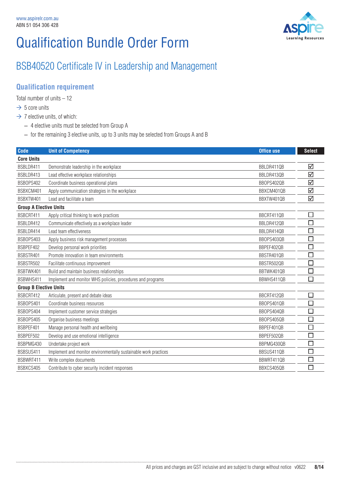

### BSB40520 Certificate IV in Leadership and Management

#### **Qualification requirement**

Total number of units – 12

- $\rightarrow$  5 core units
- $\rightarrow$  7 elective units, of which:
	- 4 elective units must be selected from Group A
	- for the remaining 3 elective units, up to 3 units may be selected from Groups A and B

| <b>Code</b>                   | <b>Unit of Competency</b>                                        | <b>Office use</b> | <b>Select</b>               |
|-------------------------------|------------------------------------------------------------------|-------------------|-----------------------------|
| <b>Core Units</b>             |                                                                  |                   |                             |
| BSBLDR411                     | Demonstrate leadership in the workplace                          | BBLDR4110B        | ☑                           |
| BSBLDR413                     | Lead effective workplace relationships                           | BBLDR413QB        | ☑                           |
| BSB0PS402                     | Coordinate business operational plans                            | BBOPS402QB        | ☑                           |
| BSBXCM401                     | Apply communication strategies in the workplace                  | BBXCM401QB        | ☑                           |
| BSBXTW401                     | Lead and facilitate a team                                       | BBXTW401QB        | ☑                           |
| <b>Group A Elective Units</b> |                                                                  |                   |                             |
| BSBCRT411                     | Apply critical thinking to work practices                        | BBCRT411QB        | $\mathcal{L}_{\mathcal{A}}$ |
| BSBLDR412                     | Communicate effectively as a workplace leader                    | BBLDR412QB        |                             |
| BSBLDR414                     | Lead team effectiveness                                          | BBLDR4140B        |                             |
| BSB0PS403                     | Apply business risk management processes                         | BBOPS403QB        |                             |
| BSBPEF402                     | Develop personal work priorities                                 | BBPEF402QB        | $\mathcal{L}_{\mathcal{A}}$ |
| BSBSTR401                     | Promote innovation in team environments                          | BBSTR401QB        |                             |
| BSBSTR502                     | Facilitate continuous improvement                                | BBSTR502QB        |                             |
| BSBTWK401                     | Build and maintain business relationships                        | BBTWK401QB        | <b>College</b>              |
| BSBWHS411                     | Implement and monitor WHS policies, procedures and programs      | BBWHS411QB        |                             |
| <b>Group B Elective Units</b> |                                                                  |                   |                             |
| BSBCRT412                     | Articulate, present and debate ideas                             | BBCRT412QB        | $\Box$                      |
| BSB0PS401                     | Coordinate business resources                                    | BBOPS401QB        |                             |
| BSB0PS404                     | Implement customer service strategies                            | BB0PS404QB        |                             |
| BSB0PS405                     | Organise business meetings                                       | BBOPS405QB        | $\mathcal{L}_{\mathcal{A}}$ |
| BSBPEF401                     | Manage personal health and wellbeing                             | BBPEF401QB        |                             |
| BSBPEF502                     | Develop and use emotional intelligence                           | BBPEF502QB        |                             |
| BSBPMG430                     | Undertake project work                                           | BBPMG430QB        | $\mathcal{L}_{\mathcal{A}}$ |
| BSBSUS411                     | Implement and monitor environmentally sustainable work practices | BBSUS411QB        |                             |
| BSBWRT411                     | Write complex documents                                          | BBWRT411QB        |                             |
| BSBXCS405                     | Contribute to cyber security incident responses                  | BBXCS405QB        |                             |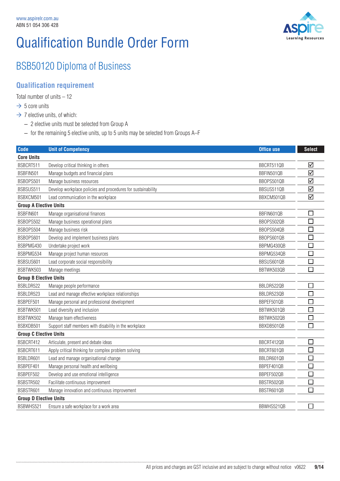

## BSB50120 Diploma of Business

#### **Qualification requirement**

Total number of units – 12

- $\rightarrow$  5 core units
- $\rightarrow$  7 elective units, of which:

- 2 elective units must be selected from Group A
- for the remaining 5 elective units, up to 5 units may be selected from Groups A–F

| <b>Code</b>                   | <b>Unit of Competency</b>                                    | <b>Office use</b> | <b>Select</b>               |
|-------------------------------|--------------------------------------------------------------|-------------------|-----------------------------|
| <b>Core Units</b>             |                                                              |                   |                             |
| BSBCRT511                     | Develop critical thinking in others                          | BBCRT511QB        | ☑                           |
| BSBFIN501                     | Manage budgets and financial plans                           | BBFIN501QB        | ☑                           |
| BSB0PS501                     | Manage business resources                                    | BBOPS501QB        | ☑                           |
| BSBSUS511                     | Develop workplace policies and procedures for sustainability | BBSUS511QB        | ☑                           |
| BSBXCM501                     | Lead communication in the workplace                          | BBXCM501QB        | ☑                           |
| <b>Group A Elective Units</b> |                                                              |                   |                             |
| BSBFIN601                     | Manage organisational finances                               | BBFIN601QB        |                             |
| BSB0PS502                     | Manage business operational plans                            | BBOPS502QB        | $\mathcal{L}_{\mathcal{A}}$ |
| BSB0PS504                     | Manage business risk                                         | BBOPS504QB        |                             |
| BSB0PS601                     | Develop and implement business plans                         | BBOPS601QB        | □                           |
| BSBPMG430                     | Undertake project work                                       | BBPMG430QB        | $\Box$                      |
| BSBPMG534                     | Manage project human resources                               | BBPMG534QB        | □                           |
| BSBSUS601                     | Lead corporate social responsibility                         | BBSUS601QB        | $\Box$                      |
| BSBTWK503                     | Manage meetings                                              | BBTWK503QB        | $\Box$                      |
| <b>Group B Elective Units</b> |                                                              |                   |                             |
| BSBLDR522                     | Manage people performance                                    | BBLDR522QB        | $\Box$                      |
| BSBLDR523                     | Lead and manage effective workplace relationships            | BBLDR523QB        | $\mathcal{L}_{\mathcal{A}}$ |
| BSBPEF501                     | Manage personal and professional development                 | BBPEF501QB        | $\mathcal{L}_{\mathcal{A}}$ |
| BSBTWK501                     | Lead diversity and inclusion                                 | BBTWK501QB        | $\Box$                      |
| BSBTWK502                     | Manage team effectiveness                                    | BBTWK502QB        | $\mathcal{L}_{\mathcal{A}}$ |
| BSBXDB501                     | Support staff members with disability in the workplace       | BBXDB501QB        | $\Box$                      |
| <b>Group C Elective Units</b> |                                                              |                   |                             |
| BSBCRT412                     | Articulate, present and debate ideas                         | BBCRT412QB        | $\Box$                      |
| BSBCRT611                     | Apply critical thinking for complex problem solving          | BBCRT601QB        | $\Box$                      |
| BSBLDR601                     | Lead and manage organisational change                        | BBLDR601QB        | $\Box$                      |
| BSBPEF401                     | Manage personal health and wellbeing                         | BBPEF401QB        | $\mathcal{L}_{\mathcal{A}}$ |
| BSBPEF502                     | Develop and use emotional intelligence                       | BBPEF502QB        | $\Box$                      |
| BSBSTR502                     | Facilitate continuous improvement                            | BBSTR502QB        |                             |
| BSBSTR601                     | Manage innovation and continuous improvement                 | BBSTR601QB        | $\Box$                      |
| <b>Group D Elective Units</b> |                                                              |                   |                             |
| BSBWHS521                     | Ensure a safe workplace for a work area                      | BBWHS521QB        | $\Box$                      |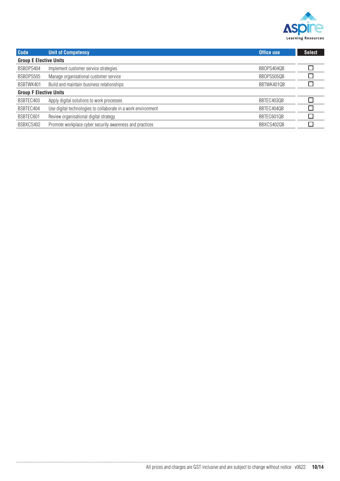

| <b>Code</b>                   | <b>Unit of Competency</b>                                     | Office use | <b>Select</b> |
|-------------------------------|---------------------------------------------------------------|------------|---------------|
| <b>Group E Elective Units</b> |                                                               |            |               |
| BSB0PS404                     | Implement customer service strategies                         | BBOPS404QB |               |
| BSB0PS505                     | Manage organisational customer service                        | BBOPS505QB |               |
| BSBTWK401                     | Build and maintain business relationships                     | BBTWK401QB |               |
| <b>Group F Elective Units</b> |                                                               |            |               |
| BSBTEC403                     | Apply digital solutions to work processes                     | BBTEC403QB |               |
| BSBTEC404                     | Use digital technologies to collaborate in a work environment | BBTEC404QB |               |
| BSBTEC601                     | Review organisational digital strategy                        | BBTEC601QB |               |
| BSBXCS402                     | Promote workplace cyber security awareness and practices      | BBXCS402QB |               |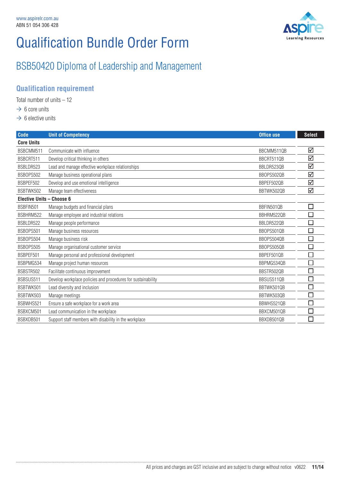

## BSB50420 Diploma of Leadership and Management

#### **Qualification requirement**

Total number of units – 12

- $\rightarrow 6$  core units
- $\rightarrow$  6 elective units

| <b>Code</b>               | <b>Unit of Competency</b>                                    | <b>Office use</b> | <b>Select</b> |
|---------------------------|--------------------------------------------------------------|-------------------|---------------|
| <b>Core Units</b>         |                                                              |                   |               |
| BSBCMM511                 | Communicate with influence                                   | BBCMM511QB        | ☑             |
| BSBCRT511                 | Develop critical thinking in others                          | BBCRT511QB        | ☑             |
| BSBLDR523                 | Lead and manage effective workplace relationships            | BBLDR523QB        | ☑             |
| BSB0PS502                 | Manage business operational plans                            | BBOPS502QB        | ☑             |
| BSBPEF502                 | Develop and use emotional intelligence                       | BBPEF502QB        | ☑             |
| BSBTWK502                 | Manage team effectiveness                                    | BBTWK502QB        | ☑             |
| Elective Units - Choose 6 |                                                              |                   |               |
| BSBFIN501                 | Manage budgets and financial plans                           | BBFIN501QB        |               |
| BSBHRM522                 | Manage employee and industrial relations                     | BBHRM522QB        |               |
| BSBLDR522                 | Manage people performance                                    | BBLDR522QB        |               |
| BSB0PS501                 | Manage business resources                                    | BBOPS501QB        |               |
| BSB0PS504                 | Manage business risk                                         | BBOPS504QB        |               |
| BSB0PS505                 | Manage organisational customer service                       | BBOPS505QB        |               |
| BSBPEF501                 | Manage personal and professional development                 | BBPEF501QB        |               |
| BSBPMG534                 | Manage project human resources                               | BBPMG534QB        |               |
| BSBSTR502                 | Facilitate continuous improvement                            | BBSTR502QB        |               |
| BSBSUS511                 | Develop workplace policies and procedures for sustainability | BBSUS511QB        |               |
| BSBTWK501                 | Lead diversity and inclusion                                 | BBTWK501QB        |               |
| BSBTWK503                 | Manage meetings                                              | BBTWK503QB        |               |
| BSBWHS521                 | Ensure a safe workplace for a work area                      | BBWHS521QB        |               |
| BSBXCM501                 | Lead communication in the workplace                          | BBXCM501QB        |               |
| BSBXDB501                 | Support staff members with disability in the workplace       | BBXDB501QB        |               |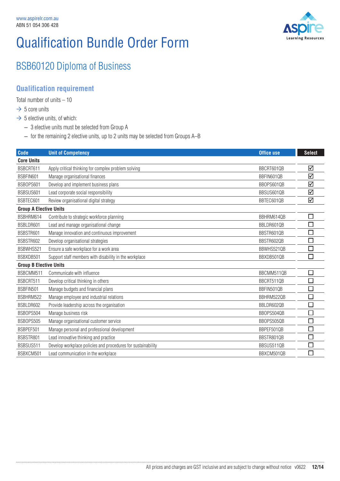

### BSB60120 Diploma of Business

#### **Qualification requirement**

Total number of units  $-10$ 

- $\rightarrow$  5 core units
- $\rightarrow$  5 elective units, of which:

- 3 elective units must be selected from Group A
- for the remaining 2 elective units, up to 2 units may be selected from Groups A–B

| <b>Code</b>                   | <b>Unit of Competency</b>                                    | <b>Office use</b> | <b>Select</b> |
|-------------------------------|--------------------------------------------------------------|-------------------|---------------|
| <b>Core Units</b>             |                                                              |                   |               |
| BSBCRT611                     | Apply critical thinking for complex problem solving          | BBCRT601QB        | ☑             |
| BSBFIN601                     | Manage organisational finances                               | BBFIN601QB        | ☑             |
| BSB0PS601                     | Develop and implement business plans                         | BBOPS601QB        | ☑             |
| BSBSUS601                     | Lead corporate social responsibility                         | BBSUS601QB        | ☑             |
| BSBTEC601                     | Review organisational digital strategy                       | BBTEC601QB        | ☑             |
| <b>Group A Elective Units</b> |                                                              |                   |               |
| BSBHRM614                     | Contribute to strategic workforce planning                   | BBHRM6140B        | □             |
| BSBLDR601                     | Lead and manage organisational change                        | BBLDR601QB        | □             |
| BSBSTR601                     | Manage innovation and continuous improvement                 | BBSTR601QB        | □             |
| BSBSTR602                     | Develop organisational strategies                            | BBSTR602QB        | $\Box$        |
| BSBWHS521                     | Ensure a safe workplace for a work area                      | BBWHS521QB        | $\Box$        |
| BSBXDB501                     | Support staff members with disability in the workplace       | BBXDB501QB        | П             |
| <b>Group B Elective Units</b> |                                                              |                   |               |
| BSBCMM511                     | Communicate with influence                                   | BBCMM511QB        | П             |
| BSBCRT511                     | Develop critical thinking in others                          | BBCRT511QB        | $\Box$        |
| BSBFIN501                     | Manage budgets and financial plans                           | BBFIN501QB        | □             |
| BSBHRM522                     | Manage employee and industrial relations                     | BBHRM522QB        | $\Box$        |
| BSBLDR602                     | Provide leadership across the organisation                   | BBLDR602QB        | □             |
| BSB0PS504                     | Manage business risk                                         | BBOPS504QB        | ┑             |
| BSB0PS505                     | Manage organisational customer service                       | BBOPS505QB        | □             |
| BSBPEF501                     | Manage personal and professional development                 | BBPEF501QB        | $\Box$        |
| BSBSTR801                     | Lead innovative thinking and practice                        | BBSTR801QB        | $\Box$        |
| BSBSUS511                     | Develop workplace policies and procedures for sustainability | BBSUS511QB        | □             |
| BSBXCM501                     | Lead communication in the workplace                          | BBXCM501QB        | П             |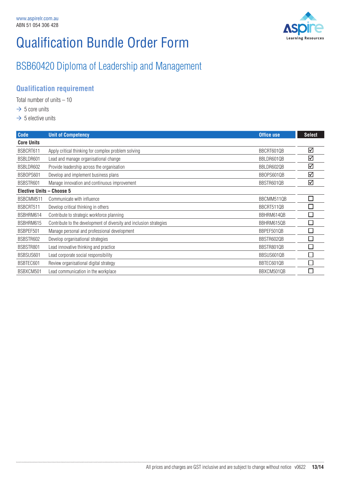

### BSB60420 Diploma of Leadership and Management

#### **Qualification requirement**

Total number of units – 10

- $\rightarrow$  5 core units
- $\rightarrow$  5 elective units

| <b>Code</b>               | <b>Unit of Competency</b>                                           | <b>Office use</b> | <b>Select</b> |
|---------------------------|---------------------------------------------------------------------|-------------------|---------------|
| <b>Core Units</b>         |                                                                     |                   |               |
| BSBCRT611                 | Apply critical thinking for complex problem solving                 | BBCRT601QB        | ☑             |
| BSBLDR601                 | Lead and manage organisational change                               | BBLDR601QB        | ☑             |
| BSBLDR602                 | Provide leadership across the organisation                          | BBLDR602QB        | ☑             |
| BSB0PS601                 | Develop and implement business plans                                | BBOPS601QB        | ☑             |
| BSBSTR601                 | Manage innovation and continuous improvement                        | BBSTR601QB        | ☑             |
| Elective Units - Choose 5 |                                                                     |                   |               |
| BSBCMM511                 | Communicate with influence                                          | BBCMM511QB        |               |
| BSBCRT511                 | Develop critical thinking in others                                 | BBCRT511QB        |               |
| BSBHRM614                 | Contribute to strategic workforce planning                          | BBHRM614QB        |               |
| BSBHRM615                 | Contribute to the development of diversity and inclusion strategies | BBHRM615QB        |               |
| BSBPEF501                 | Manage personal and professional development                        | BBPEF501QB        |               |
| BSBSTR602                 | Develop organisational strategies                                   | BBSTR602QB        |               |
| BSBSTR801                 | Lead innovative thinking and practice                               | BBSTR801QB        |               |
| BSBSUS601                 | Lead corporate social responsibility                                | BBSUS601QB        |               |
| BSBTEC601                 | Review organisational digital strategy                              | BBTEC601QB        |               |
| BSBXCM501                 | Lead communication in the workplace                                 | BBXCM501QB        |               |